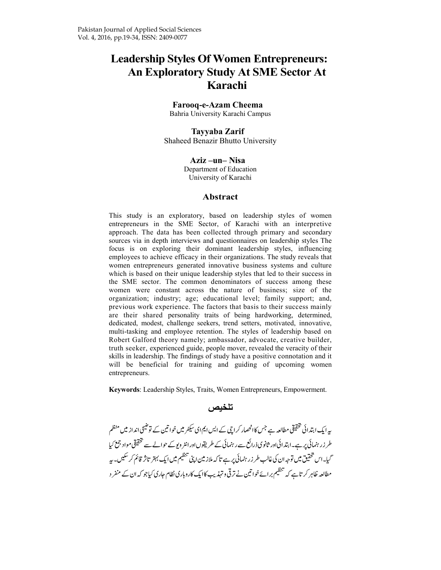# **Leadership Styles Of Women Entrepreneurs: An Exploratory Study At SME Sector At Karachi**

#### **Farooq-e-Azam Cheema**

Bahria University Karachi Campus

#### **Tayyaba Zarif**  Shaheed Benazir Bhutto University

**Aziz –un– Nisa** 

Department of Education University of Karachi

#### **Abstract**

This study is an exploratory, based on leadership styles of women entrepreneurs in the SME Sector, of Karachi with an interpretive approach. The data has been collected through primary and secondary sources via in depth interviews and questionnaires on leadership styles The focus is on exploring their dominant leadership styles, influencing employees to achieve efficacy in their organizations. The study reveals that women entrepreneurs generated innovative business systems and culture which is based on their unique leadership styles that led to their success in the SME sector. The common denominators of success among these women were constant across the nature of business; size of the organization; industry; age; educational level; family support; and, previous work experience. The factors that basis to their success mainly are their shared personality traits of being hardworking, determined, dedicated, modest, challenge seekers, trend setters, motivated, innovative, multi-tasking and employee retention. The styles of leadership based on Robert Galford theory namely; ambassador, advocate, creative builder, truth seeker, experienced guide, people mover, revealed the veracity of their skills in leadership. The findings of study have a positive connotation and it will be beneficial for training and guiding of upcoming women entrepreneurs.

**Keywords**: Leadership Styles, Traits, Women Entrepreneurs, Empowerment.

**تلخيص** 

-پیہ ایک ابتدائی تحقیقی مطالعہ ہے جس کاانحصار کراچی کے ایس ایم ای سیکٹر میں خواتین کے توضیحی انداز میں منظم -**-**-طر زر ہنمائی پر ہے۔ابتدائیاور ثانوی ذرائع سے رہنمائی کے طریقوںاورانٹر ویوکے حوالے سے تحقیقی مواد جمع کیا ---گیا۔اس تحقیق میں توجہ ان کی غالب طر زر ہنمائی پر ہے تا کہ ملاز مین اپنی تنظیم میں ایک بہتر تاثر قائم کر سکیں۔پہ -مطالعہ ظاہر کر تاہے کہ تنظیم برائےخوا تین نے ترقی و تہذیب کاایک کاروباری نظام جاری کیاجو کہ ان کے منفر د -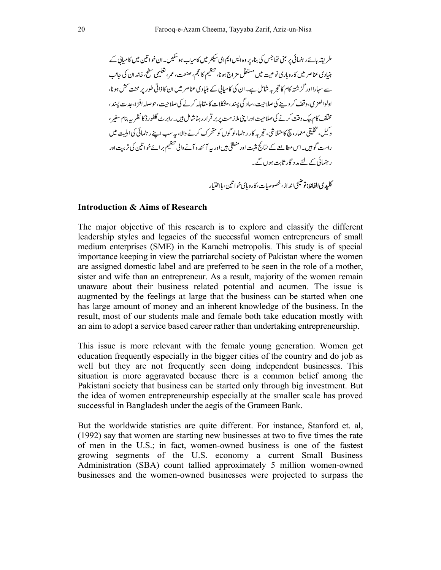- -\_W---6-1;U-VW------X'-2-YZ-5--[-\-2-,-Q]-^+ -`H-5-6abcdbebfbg--AbhUijk-l/-K'-mn-!o bhUwx-2yz.--6-mn-!o- \_W-5-6-1pqrs--Itu-'v-# b-ÄÅbÇ-É%bÑÖ-5-P-Üá--Äàbâ!äbÑÖ-5ã!-{'b|}~' bå-IZç-éèêëíì îR-1ïpqñóR-2òD-B-'-ÑÖ-5-Pô'ö-Iõ --•-5-,-¶ß-b®'-P-©úù-)û~b,-rsbü†--°b¢-£b§' -'-™O-5--QR-A-´'-P¨-X¨--'ï-Æ-'-Ø-°±- ²-9-1ïû-³ -1¥-)Uµ0-¶!·-¸- -, øK-b-K'-bĽæ-b- º¹º-ª

#### **Introduction & Aims of Research**

The major objective of this research is to explore and classify the different leadership styles and legacies of the successful women entrepreneurs of small medium enterprises (SME) in the Karachi metropolis. This study is of special importance keeping in view the patriarchal society of Pakistan where the women are assigned domestic label and are preferred to be seen in the role of a mother, sister and wife than an entrepreneur. As a result, majority of the women remain unaware about their business related potential and acumen. The issue is augmented by the feelings at large that the business can be started when one has large amount of money and an inherent knowledge of the business. In the result, most of our students male and female both take education mostly with an aim to adopt a service based career rather than undertaking entrepreneurship.

This issue is more relevant with the female young generation. Women get education frequently especially in the bigger cities of the country and do job as well but they are not frequently seen doing independent businesses. This situation is more aggravated because there is a common belief among the Pakistani society that business can be started only through big investment. But the idea of women entrepreneurship especially at the smaller scale has proved successful in Bangladesh under the aegis of the Grameen Bank.

But the worldwide statistics are quite different. For instance, Stanford et. al, (1992) say that women are starting new businesses at two to five times the rate of men in the U.S.; in fact, women-owned business is one of the fastest growing segments of the U.S. economy a current Small Business Administration (SBA) count tallied approximately 5 million women-owned businesses and the women-owned businesses were projected to surpass the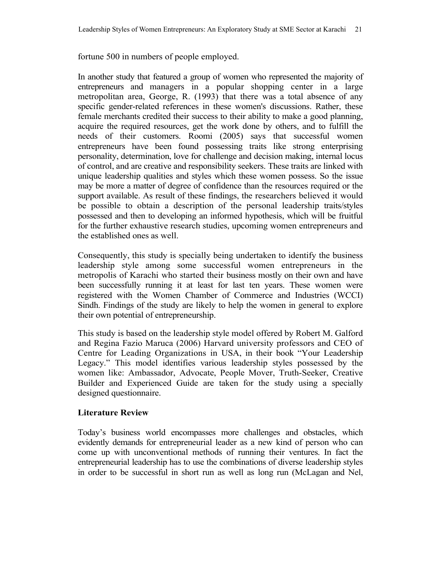fortune 500 in numbers of people employed.

In another study that featured a group of women who represented the majority of entrepreneurs and managers in a popular shopping center in a large metropolitan area, George, R. (1993) that there was a total absence of any specific gender-related references in these women's discussions. Rather, these female merchants credited their success to their ability to make a good planning, acquire the required resources, get the work done by others, and to fulfill the needs of their customers. Roomi (2005) says that successful women entrepreneurs have been found possessing traits like strong enterprising personality, determination, love for challenge and decision making, internal locus of control, and are creative and responsibility seekers. These traits are linked with unique leadership qualities and styles which these women possess. So the issue may be more a matter of degree of confidence than the resources required or the support available. As result of these findings, the researchers believed it would be possible to obtain a description of the personal leadership traits/styles possessed and then to developing an informed hypothesis, which will be fruitful for the further exhaustive research studies, upcoming women entrepreneurs and the established ones as well.

Consequently, this study is specially being undertaken to identify the business leadership style among some successful women entrepreneurs in the metropolis of Karachi who started their business mostly on their own and have been successfully running it at least for last ten years. These women were registered with the Women Chamber of Commerce and Industries (WCCI) Sindh. Findings of the study are likely to help the women in general to explore their own potential of entrepreneurship.

This study is based on the leadership style model offered by Robert M. Galford and Regina Fazio Maruca (2006) Harvard university professors and CEO of Centre for Leading Organizations in USA, in their book "Your Leadership Legacy." This model identifies various leadership styles possessed by the women like: Ambassador, Advocate, People Mover, Truth-Seeker, Creative Builder and Experienced Guide are taken for the study using a specially designed questionnaire.

#### **Literature Review**

Today's business world encompasses more challenges and obstacles, which evidently demands for entrepreneurial leader as a new kind of person who can come up with unconventional methods of running their ventures. In fact the entrepreneurial leadership has to use the combinations of diverse leadership styles in order to be successful in short run as well as long run (McLagan and Nel,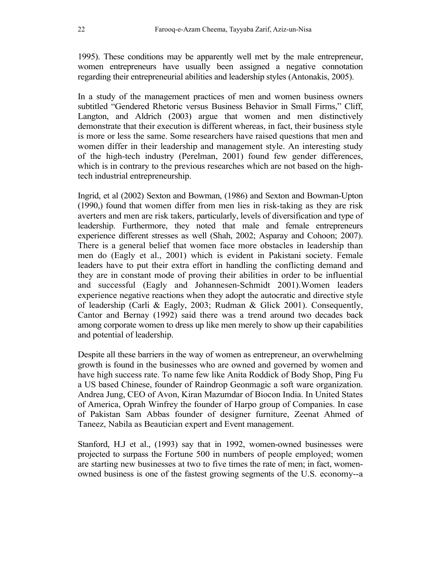1995). These conditions may be apparently well met by the male entrepreneur, women entrepreneurs have usually been assigned a negative connotation regarding their entrepreneurial abilities and leadership styles (Antonakis, 2005).

In a study of the management practices of men and women business owners subtitled "Gendered Rhetoric versus Business Behavior in Small Firms," Cliff, Langton, and Aldrich (2003) argue that women and men distinctively demonstrate that their execution is different whereas, in fact, their business style is more or less the same. Some researchers have raised questions that men and women differ in their leadership and management style. An interesting study of the high-tech industry (Perelman, 2001) found few gender differences, which is in contrary to the previous researches which are not based on the hightech industrial entrepreneurship.

Ingrid, et al (2002) Sexton and Bowman, (1986) and Sexton and Bowman-Upton (1990,) found that women differ from men lies in risk-taking as they are risk averters and men are risk takers, particularly, levels of diversification and type of leadership. Furthermore, they noted that male and female entrepreneurs experience different stresses as well (Shah, 2002; Asparay and Cohoon; 2007). There is a general belief that women face more obstacles in leadership than men do (Eagly et al., 2001) which is evident in Pakistani society. Female leaders have to put their extra effort in handling the conflicting demand and they are in constant mode of proving their abilities in order to be influential and successful (Eagly and Johannesen-Schmidt 2001).Women leaders experience negative reactions when they adopt the autocratic and directive style of leadership (Carli & Eagly, 2003; Rudman & Glick 2001). Consequently, Cantor and Bernay (1992) said there was a trend around two decades back among corporate women to dress up like men merely to show up their capabilities and potential of leadership.

Despite all these barriers in the way of women as entrepreneur, an overwhelming growth is found in the businesses who are owned and governed by women and have high success rate. To name few like Anita Roddick of Body Shop, Ping Fu a US based Chinese, founder of Raindrop Geonmagic a soft ware organization. Andrea Jung, CEO of Avon, Kiran Mazumdar of Biocon India. In United States of America, Oprah Winfrey the founder of Harpo group of Companies. In case of Pakistan Sam Abbas founder of designer furniture, Zeenat Ahmed of Taneez, Nabila as Beautician expert and Event management.

Stanford, H.J et al., (1993) say that in 1992, women-owned businesses were projected to surpass the Fortune 500 in numbers of people employed; women are starting new businesses at two to five times the rate of men; in fact, womenowned business is one of the fastest growing segments of the U.S. economy--a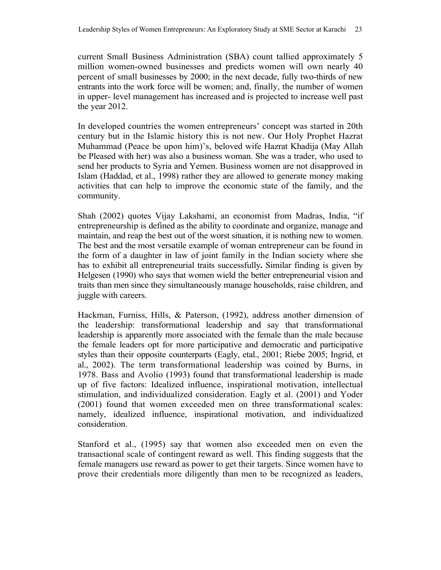current Small Business Administration (SBA) count tallied approximately 5 million women-owned businesses and predicts women will own nearly 40 percent of small businesses by 2000; in the next decade, fully two-thirds of new entrants into the work force will be women; and, finally, the number of women in upper- level management has increased and is projected to increase well past the year 2012.

In developed countries the women entrepreneurs' concept was started in 20th century but in the Islamic history this is not new. Our Holy Prophet Hazrat Muhammad (Peace be upon him)'s, beloved wife Hazrat Khadija (May Allah be Pleased with her) was also a business woman. She was a trader, who used to send her products to Syria and Yemen. Business women are not disapproved in Islam (Haddad, et al., 1998) rather they are allowed to generate money making activities that can help to improve the economic state of the family, and the community.

Shah (2002) quotes Vijay Lakshami, an economist from Madras, India, "if entrepreneurship is defined as the ability to coordinate and organize, manage and maintain, and reap the best out of the worst situation, it is nothing new to women. The best and the most versatile example of woman entrepreneur can be found in the form of a daughter in law of joint family in the Indian society where she has to exhibit all entrepreneurial traits successfully**.** Similar finding is given by Helgesen (1990) who says that women wield the better entrepreneurial vision and traits than men since they simultaneously manage households, raise children, and juggle with careers.

Hackman, Furniss, Hills, & Paterson, (1992), address another dimension of the leadership: transformational leadership and say that transformational leadership is apparently more associated with the female than the male because the female leaders opt for more participative and democratic and participative styles than their opposite counterparts (Eagly, etal., 2001; Riebe 2005; Ingrid, et al., 2002). The term transformational leadership was coined by Burns, in 1978. Bass and Avolio (1993) found that transformational leadership is made up of five factors: Idealized influence, inspirational motivation, intellectual stimulation, and individualized consideration. Eagly et al. (2001) and Yoder (2001) found that women exceeded men on three transformational scales: namely, idealized influence, inspirational motivation, and individualized consideration.

Stanford et al., (1995) say that women also exceeded men on even the transactional scale of contingent reward as well. This finding suggests that the female managers use reward as power to get their targets. Since women have to prove their credentials more diligently than men to be recognized as leaders,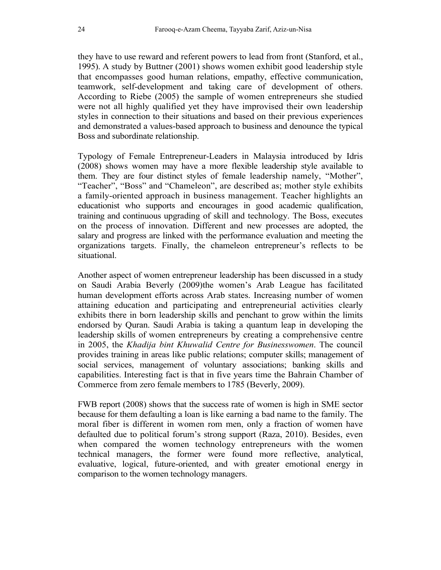they have to use reward and referent powers to lead from front (Stanford, et al., 1995). A study by Buttner (2001) shows women exhibit good leadership style that encompasses good human relations, empathy, effective communication, teamwork, self-development and taking care of development of others. According to Riebe (2005) the sample of women entrepreneurs she studied were not all highly qualified yet they have improvised their own leadership styles in connection to their situations and based on their previous experiences and demonstrated a values-based approach to business and denounce the typical Boss and subordinate relationship.

Typology of Female Entrepreneur-Leaders in Malaysia introduced by Idris (2008) shows women may have a more flexible leadership style available to them. They are four distinct styles of female leadership namely, "Mother", "Teacher", "Boss" and "Chameleon", are described as; mother style exhibits a family-oriented approach in business management. Teacher highlights an educationist who supports and encourages in good academic qualification, training and continuous upgrading of skill and technology. The Boss, executes on the process of innovation. Different and new processes are adopted, the salary and progress are linked with the performance evaluation and meeting the organizations targets. Finally, the chameleon entrepreneur's reflects to be situational.

Another aspect of women entrepreneur leadership has been discussed in a study on Saudi Arabia Beverly (2009)the women's Arab League has facilitated human development efforts across Arab states. Increasing number of women attaining education and participating and entrepreneurial activities clearly exhibits there in born leadership skills and penchant to grow within the limits endorsed by Quran. Saudi Arabia is taking a quantum leap in developing the leadership skills of women entrepreneurs by creating a comprehensive centre in 2005, the *Khadija bint Khuwalid Centre for Businesswomen*. The council provides training in areas like public relations; computer skills; management of social services, management of voluntary associations; banking skills and capabilities. Interesting fact is that in five years time the Bahrain Chamber of Commerce from zero female members to 1785 (Beverly, 2009).

FWB report (2008) shows that the success rate of women is high in SME sector because for them defaulting a loan is like earning a bad name to the family. The moral fiber is different in women rom men, only a fraction of women have defaulted due to political forum's strong support (Raza, 2010). Besides, even when compared the women technology entrepreneurs with the women technical managers, the former were found more reflective, analytical, evaluative, logical, future-oriented, and with greater emotional energy in comparison to the women technology managers.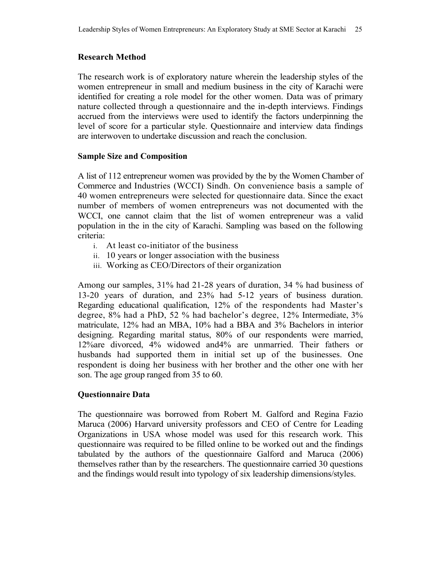## **Research Method**

The research work is of exploratory nature wherein the leadership styles of the women entrepreneur in small and medium business in the city of Karachi were identified for creating a role model for the other women. Data was of primary nature collected through a questionnaire and the in-depth interviews. Findings accrued from the interviews were used to identify the factors underpinning the level of score for a particular style. Questionnaire and interview data findings are interwoven to undertake discussion and reach the conclusion.

#### **Sample Size and Composition**

A list of 112 entrepreneur women was provided by the by the Women Chamber of Commerce and Industries (WCCI) Sindh. On convenience basis a sample of 40 women entrepreneurs were selected for questionnaire data. Since the exact number of members of women entrepreneurs was not documented with the WCCI, one cannot claim that the list of women entrepreneur was a valid population in the in the city of Karachi. Sampling was based on the following criteria:

- i. At least co-initiator of the business
- ii. 10 years or longer association with the business
- iii. Working as CEO/Directors of their organization

Among our samples, 31% had 21-28 years of duration, 34 % had business of 13-20 years of duration, and 23% had 5-12 years of business duration. Regarding educational qualification, 12% of the respondents had Master's degree, 8% had a PhD, 52 % had bachelor's degree, 12% Intermediate, 3% matriculate, 12% had an MBA, 10% had a BBA and 3% Bachelors in interior designing. Regarding marital status, 80% of our respondents were married, 12%are divorced, 4% widowed and4% are unmarried. Their fathers or husbands had supported them in initial set up of the businesses. One respondent is doing her business with her brother and the other one with her son. The age group ranged from 35 to 60.

#### **Questionnaire Data**

The questionnaire was borrowed from Robert M. Galford and Regina Fazio Maruca (2006) Harvard university professors and CEO of Centre for Leading Organizations in USA whose model was used for this research work. This questionnaire was required to be filled online to be worked out and the findings tabulated by the authors of the questionnaire Galford and Maruca (2006) themselves rather than by the researchers. The questionnaire carried 30 questions and the findings would result into typology of six leadership dimensions/styles.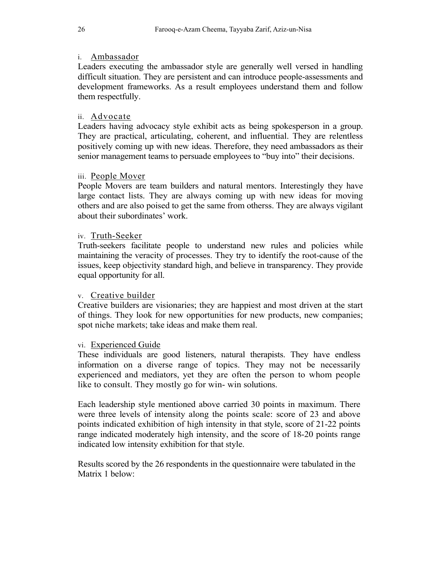## i. Ambassador

Leaders executing the ambassador style are generally well versed in handling difficult situation. They are persistent and can introduce people-assessments and development frameworks. As a result employees understand them and follow them respectfully.

## ii. Advocate

Leaders having advocacy style exhibit acts as being spokesperson in a group. They are practical, articulating, coherent, and influential. They are relentless positively coming up with new ideas. Therefore, they need ambassadors as their senior management teams to persuade employees to "buy into" their decisions.

## iii. People Mover

People Movers are team builders and natural mentors. Interestingly they have large contact lists. They are always coming up with new ideas for moving others and are also poised to get the same from otherss. They are always vigilant about their subordinates' work.

#### iv. Truth-Seeker

Truth-seekers facilitate people to understand new rules and policies while maintaining the veracity of processes. They try to identify the root-cause of the issues, keep objectivity standard high, and believe in transparency. They provide equal opportunity for all.

#### v. Creative builder

Creative builders are visionaries; they are happiest and most driven at the start of things. They look for new opportunities for new products, new companies; spot niche markets; take ideas and make them real.

#### vi. Experienced Guide

These individuals are good listeners, natural therapists. They have endless information on a diverse range of topics. They may not be necessarily experienced and mediators, yet they are often the person to whom people like to consult. They mostly go for win- win solutions.

Each leadership style mentioned above carried 30 points in maximum. There were three levels of intensity along the points scale: score of 23 and above points indicated exhibition of high intensity in that style, score of 21-22 points range indicated moderately high intensity, and the score of 18-20 points range indicated low intensity exhibition for that style.

Results scored by the 26 respondents in the questionnaire were tabulated in the Matrix 1 below: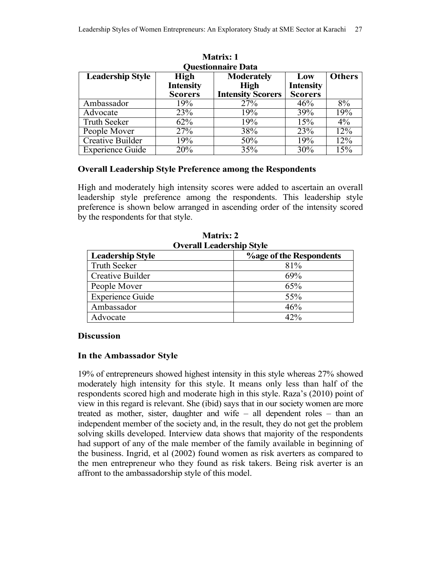| <b>Questionnaire Data</b> |                  |                          |                  |               |  |
|---------------------------|------------------|--------------------------|------------------|---------------|--|
| <b>Leadership Style</b>   | <b>High</b>      | <b>Moderately</b>        | Low              | <b>Others</b> |  |
|                           | <b>Intensity</b> | <b>High</b>              | <b>Intensity</b> |               |  |
|                           | <b>Scorers</b>   | <b>Intensity Scorers</b> | <b>Scorers</b>   |               |  |
| Ambassador                | 19%              | 27%                      | 46%              | 8%            |  |
| Advocate                  | 23%              | 19%                      | 39%              | 19%           |  |
| <b>Truth Seeker</b>       | 62%              | 19%                      | 15%              | $4\%$         |  |
| People Mover              | 27%              | 38%                      | 23%              | 12%           |  |
| <b>Creative Builder</b>   | 19%              | 50%                      | 19%              | 12%           |  |
| <b>Experience Guide</b>   | 20%              | 35%                      | 30%              | 15%           |  |

**Matrix: 1 Questionnaire Data** 

#### **Overall Leadership Style Preference among the Respondents**

High and moderately high intensity scores were added to ascertain an overall leadership style preference among the respondents. This leadership style preference is shown below arranged in ascending order of the intensity scored by the respondents for that style.

| OVEL AIL LICAUCI SHIP SUVIC |                                |  |  |
|-----------------------------|--------------------------------|--|--|
| <b>Leadership Style</b>     | <b>%age of the Respondents</b> |  |  |
| <b>Truth Seeker</b>         | 81%                            |  |  |
| Creative Builder            | 69%                            |  |  |
| People Mover                | 65%                            |  |  |
| <b>Experience Guide</b>     | 55%                            |  |  |
| Ambassador                  | 46%                            |  |  |
| Advocate                    | 42%                            |  |  |

**Matrix: 2 Overall Leadership Style** 

#### **Discussion**

#### **In the Ambassador Style**

19% of entrepreneurs showed highest intensity in this style whereas 27% showed moderately high intensity for this style. It means only less than half of the respondents scored high and moderate high in this style. Raza's (2010) point of view in this regard is relevant. She (ibid) says that in our society women are more treated as mother, sister, daughter and wife – all dependent roles – than an independent member of the society and, in the result, they do not get the problem solving skills developed. Interview data shows that majority of the respondents had support of any of the male member of the family available in beginning of the business. Ingrid, et al (2002) found women as risk averters as compared to the men entrepreneur who they found as risk takers. Being risk averter is an affront to the ambassadorship style of this model.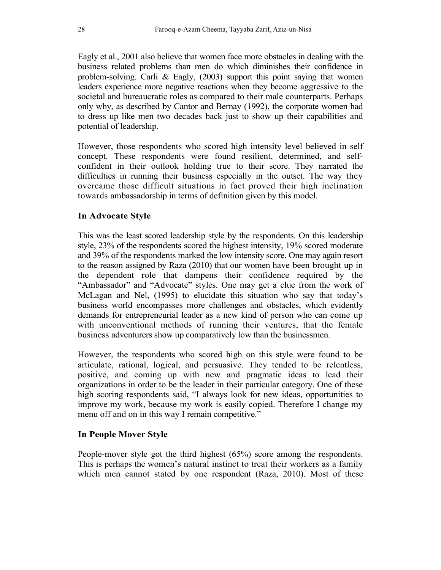Eagly et al., 2001 also believe that women face more obstacles in dealing with the business related problems than men do which diminishes their confidence in problem-solving. Carli & Eagly, (2003) support this point saying that women leaders experience more negative reactions when they become aggressive to the societal and bureaucratic roles as compared to their male counterparts. Perhaps only why, as described by Cantor and Bernay (1992), the corporate women had to dress up like men two decades back just to show up their capabilities and potential of leadership.

However, those respondents who scored high intensity level believed in self concept. These respondents were found resilient, determined, and selfconfident in their outlook holding true to their score. They narrated the difficulties in running their business especially in the outset. The way they overcame those difficult situations in fact proved their high inclination towards ambassadorship in terms of definition given by this model.

# **In Advocate Style**

This was the least scored leadership style by the respondents. On this leadership style, 23% of the respondents scored the highest intensity, 19% scored moderate and 39% of the respondents marked the low intensity score. One may again resort to the reason assigned by Raza (2010) that our women have been brought up in the dependent role that dampens their confidence required by the "Ambassador" and "Advocate" styles. One may get a clue from the work of McLagan and Nel, (1995) to elucidate this situation who say that today's business world encompasses more challenges and obstacles, which evidently demands for entrepreneurial leader as a new kind of person who can come up with unconventional methods of running their ventures, that the female business adventurers show up comparatively low than the businessmen.

However, the respondents who scored high on this style were found to be articulate, rational, logical, and persuasive. They tended to be relentless, positive, and coming up with new and pragmatic ideas to lead their organizations in order to be the leader in their particular category. One of these high scoring respondents said, "I always look for new ideas, opportunities to improve my work, because my work is easily copied. Therefore I change my menu off and on in this way I remain competitive."

# **In People Mover Style**

People-mover style got the third highest (65%) score among the respondents. This is perhaps the women's natural instinct to treat their workers as a family which men cannot stated by one respondent (Raza, 2010). Most of these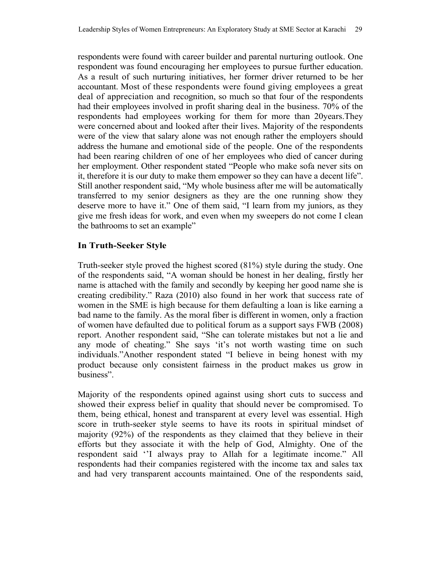respondents were found with career builder and parental nurturing outlook. One respondent was found encouraging her employees to pursue further education. As a result of such nurturing initiatives, her former driver returned to be her accountant. Most of these respondents were found giving employees a great deal of appreciation and recognition, so much so that four of the respondents had their employees involved in profit sharing deal in the business. 70% of the respondents had employees working for them for more than 20years.They were concerned about and looked after their lives. Majority of the respondents were of the view that salary alone was not enough rather the employers should address the humane and emotional side of the people. One of the respondents had been rearing children of one of her employees who died of cancer during her employment. Other respondent stated "People who make sofa never sits on it, therefore it is our duty to make them empower so they can have a decent life". Still another respondent said, "My whole business after me will be automatically transferred to my senior designers as they are the one running show they deserve more to have it." One of them said, "I learn from my juniors, as they give me fresh ideas for work, and even when my sweepers do not come I clean the bathrooms to set an example"

# **In Truth-Seeker Style**

Truth-seeker style proved the highest scored (81%) style during the study. One of the respondents said, "A woman should be honest in her dealing, firstly her name is attached with the family and secondly by keeping her good name she is creating credibility." Raza (2010) also found in her work that success rate of women in the SME is high because for them defaulting a loan is like earning a bad name to the family. As the moral fiber is different in women, only a fraction of women have defaulted due to political forum as a support says FWB (2008) report. Another respondent said, "She can tolerate mistakes but not a lie and any mode of cheating." She says 'it's not worth wasting time on such individuals."Another respondent stated "I believe in being honest with my product because only consistent fairness in the product makes us grow in business".

Majority of the respondents opined against using short cuts to success and showed their express belief in quality that should never be compromised. To them, being ethical, honest and transparent at every level was essential. High score in truth-seeker style seems to have its roots in spiritual mindset of majority (92%) of the respondents as they claimed that they believe in their efforts but they associate it with the help of God, Almighty. One of the respondent said ''I always pray to Allah for a legitimate income." All respondents had their companies registered with the income tax and sales tax and had very transparent accounts maintained. One of the respondents said,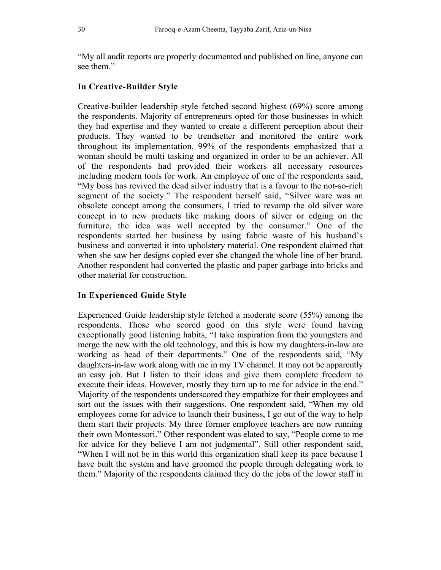"My all audit reports are properly documented and published on line, anyone can see them"

#### **In Creative-Builder Style**

Creative-builder leadership style fetched second highest (69%) score among the respondents. Majority of entrepreneurs opted for those businesses in which they had expertise and they wanted to create a different perception about their products. They wanted to be trendsetter and monitored the entire work throughout its implementation. 99% of the respondents emphasized that a woman should be multi tasking and organized in order to be an achiever. All of the respondents had provided their workers all necessary resources including modern tools for work. An employee of one of the respondents said, "My boss has revived the dead silver industry that is a favour to the not-so-rich segment of the society." The respondent herself said, "Silver ware was an obsolete concept among the consumers, I tried to revamp the old silver ware concept in to new products like making doors of silver or edging on the furniture, the idea was well accepted by the consumer." One of the respondents started her business by using fabric waste of his husband's business and converted it into upholstery material. One respondent claimed that when she saw her designs copied ever she changed the whole line of her brand. Another respondent had converted the plastic and paper garbage into bricks and other material for construction.

#### **In Experienced Guide Style**

Experienced Guide leadership style fetched a moderate score (55%) among the respondents. Those who scored good on this style were found having exceptionally good listening habits, "I take inspiration from the youngsters and merge the new with the old technology, and this is how my daughters-in-law are working as head of their departments." One of the respondents said, "My daughters-in-law work along with me in my TV channel. It may not be apparently an easy job. But I listen to their ideas and give them complete freedom to execute their ideas. However, mostly they turn up to me for advice in the end." Majority of the respondents underscored they empathize for their employees and sort out the issues with their suggestions. One respondent said, "When my old employees come for advice to launch their business, I go out of the way to help them start their projects. My three former employee teachers are now running their own Montessori." Other respondent was elated to say, "People come to me for advice for they believe I am not judgmental". Still other respondent said, "When I will not be in this world this organization shall keep its pace because I have built the system and have groomed the people through delegating work to them." Majority of the respondents claimed they do the jobs of the lower staff in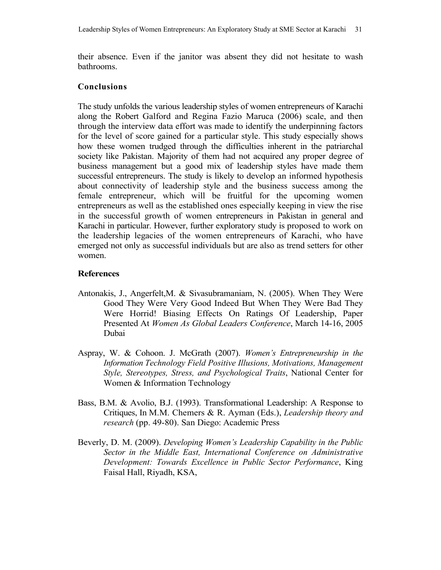their absence. Even if the janitor was absent they did not hesitate to wash bathrooms.

## **Conclusions**

The study unfolds the various leadership styles of women entrepreneurs of Karachi along the Robert Galford and Regina Fazio Maruca (2006) scale, and then through the interview data effort was made to identify the underpinning factors for the level of score gained for a particular style. This study especially shows how these women trudged through the difficulties inherent in the patriarchal society like Pakistan. Majority of them had not acquired any proper degree of business management but a good mix of leadership styles have made them successful entrepreneurs. The study is likely to develop an informed hypothesis about connectivity of leadership style and the business success among the female entrepreneur, which will be fruitful for the upcoming women entrepreneurs as well as the established ones especially keeping in view the rise in the successful growth of women entrepreneurs in Pakistan in general and Karachi in particular. However, further exploratory study is proposed to work on the leadership legacies of the women entrepreneurs of Karachi, who have emerged not only as successful individuals but are also as trend setters for other women.

## **References**

- Antonakis, J., Angerfelt,M. & Sivasubramaniam, N. (2005). When They Were Good They Were Very Good Indeed But When They Were Bad They Were Horrid! Biasing Effects On Ratings Of Leadership, Paper Presented At *Women As Global Leaders Conference*, March 14-16, 2005 Dubai
- Aspray, W. & Cohoon. J. McGrath (2007). *Women's Entrepreneurship in the Information Technology Field Positive Illusions, Motivations, Management Style, Stereotypes, Stress, and Psychological Traits*, National Center for Women & Information Technology
- Bass, B.M. & Avolio, B.J. (1993). Transformational Leadership: A Response to Critiques, In M.M. Chemers & R. Ayman (Eds.), *Leadership theory and research* (pp. 49-80). San Diego: Academic Press
- Beverly, D. M. (2009). *Developing Women's Leadership Capability in the Public Sector in the Middle East, International Conference on Administrative Development: Towards Excellence in Public Sector Performance*, King Faisal Hall, Riyadh, KSA,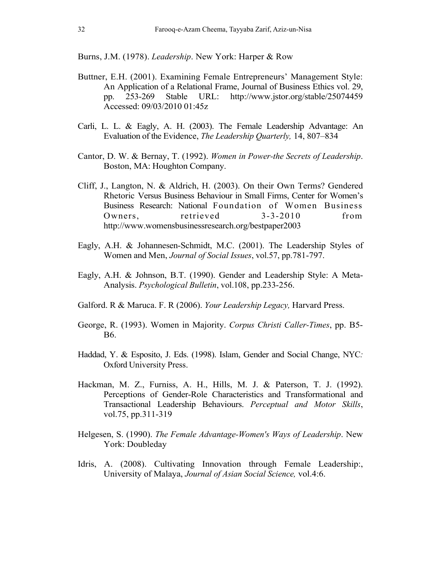Burns, J.M. (1978). *Leadership*. New York: Harper & Row

- Buttner, E.H. (2001). Examining Female Entrepreneurs' Management Style: An Application of a Relational Frame, Journal of Business Ethics vol. 29, pp. 253-269 Stable URL: http://www.jstor.org/stable/25074459 Accessed: 09/03/2010 01:45z
- Carli, L. L. & Eagly, A. H. (2003). The Female Leadership Advantage: An Evaluation of the Evidence, *The Leadership Quarterly,* 14, 807–834
- Cantor, D. W. & Bernay, T. (1992). *Women in Power-the Secrets of Leadership*. Boston, MA: Houghton Company.
- Cliff, J., Langton, N. & Aldrich, H. (2003). On their Own Terms? Gendered Rhetoric Versus Business Behaviour in Small Firms, Center for Women's Business Research: National Foundation of Women Business Owners. retrieved 3-3-2010 from http://www.womensbusinessresearch.org/bestpaper2003
- Eagly, A.H. & Johannesen-Schmidt, M.C. (2001). The Leadership Styles of Women and Men, *Journal of Social Issues*, vol.57, pp.781-797.
- Eagly, A.H. & Johnson, B.T. (1990). Gender and Leadership Style: A Meta-Analysis. *Psychological Bulletin*, vol.108, pp.233-256.
- Galford. R & Maruca. F. R (2006). *Your Leadership Legacy,* Harvard Press.
- George, R. (1993). Women in Majority. *Corpus Christi Caller-Times*, pp. B5- B6.
- Haddad, Y. & Esposito, J. Eds. (1998). Islam, Gender and Social Change, NYC*:*  Oxford University Press.
- Hackman, M. Z., Furniss, A. H., Hills, M. J. & Paterson, T. J. (1992). Perceptions of Gender-Role Characteristics and Transformational and Transactional Leadership Behaviours. *Perceptual and Motor Skills*, vol.75, pp.311-319
- Helgesen, S. (1990). *The Female Advantage-Women's Ways of Leadership*. New York: Doubleday
- Idris, A. (2008). Cultivating Innovation through Female Leadership:, University of Malaya, *Journal of Asian Social Science,* vol.4:6.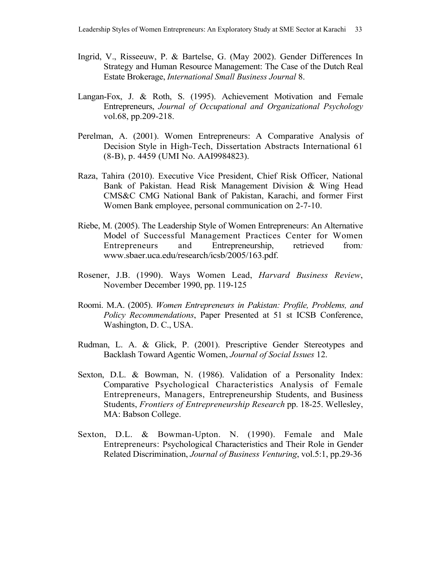- Ingrid, V., Risseeuw, P. & Bartelse, G. (May 2002). Gender Differences In Strategy and Human Resource Management: The Case of the Dutch Real Estate Brokerage, *International Small Business Journal* 8.
- Langan-Fox, J. & Roth, S. (1995). Achievement Motivation and Female Entrepreneurs, *Journal of Occupational and Organizational Psychology* vol.68, pp.209-218.
- Perelman, A. (2001). Women Entrepreneurs: A Comparative Analysis of Decision Style in High-Tech, Dissertation Abstracts International 61 (8-B), p. 4459 (UMI No. AAI9984823).
- Raza, Tahira (2010). Executive Vice President, Chief Risk Officer, National Bank of Pakistan. Head Risk Management Division & Wing Head CMS&C CMG National Bank of Pakistan, Karachi, and former First Women Bank employee, personal communication on 2-7-10.
- Riebe, M. (2005). The Leadership Style of Women Entrepreneurs: An Alternative Model of Successful Management Practices Center for Women Entrepreneurs and Entrepreneurship, retrieved from*:*  www.sbaer.uca.edu/research/icsb/2005/163.pdf.
- Rosener, J.B. (1990). Ways Women Lead, *Harvard Business Review*, November December 1990, pp. 119-125
- Roomi. M.A. (2005). *Women Entrepreneurs in Pakistan: Profile, Problems, and Policy Recommendations*, Paper Presented at 51 st ICSB Conference, Washington, D. C., USA.
- Rudman, L. A. & Glick, P. (2001). Prescriptive Gender Stereotypes and Backlash Toward Agentic Women, *Journal of Social Issues* 12.
- Sexton, D.L. & Bowman, N. (1986). Validation of a Personality Index: Comparative Psychological Characteristics Analysis of Female Entrepreneurs, Managers, Entrepreneurship Students, and Business Students, *Frontiers of Entrepreneurship Research* pp. 18-25. Wellesley, MA: Babson College.
- Sexton, D.L. & Bowman-Upton. N. (1990). Female and Male Entrepreneurs: Psychological Characteristics and Their Role in Gender Related Discrimination, *Journal of Business Venturing*, vol.5:1, pp.29-36